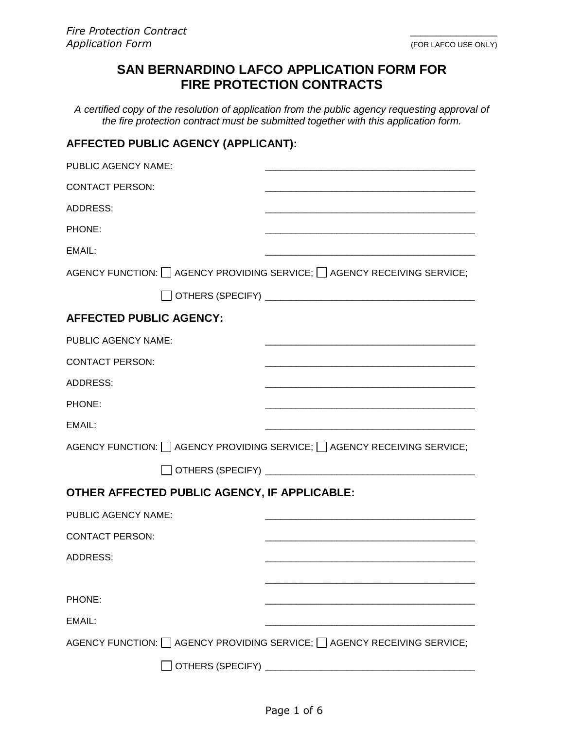# **SAN BERNARDINO LAFCO APPLICATION FORM FOR FIRE PROTECTION CONTRACTS**

*A certified copy of the resolution of application from the public agency requesting approval of the fire protection contract must be submitted together with this application form.*

## **AFFECTED PUBLIC AGENCY (APPLICANT):**

| PUBLIC AGENCY NAME:                                                      |                                                                                    |  |
|--------------------------------------------------------------------------|------------------------------------------------------------------------------------|--|
| <b>CONTACT PERSON:</b>                                                   |                                                                                    |  |
| ADDRESS:                                                                 |                                                                                    |  |
| PHONE:                                                                   |                                                                                    |  |
| EMAIL:                                                                   |                                                                                    |  |
|                                                                          | AGENCY FUNCTION: □ AGENCY PROVIDING SERVICE; □ AGENCY RECEIVING SERVICE;           |  |
|                                                                          |                                                                                    |  |
| <b>AFFECTED PUBLIC AGENCY:</b>                                           |                                                                                    |  |
| <b>PUBLIC AGENCY NAME:</b>                                               |                                                                                    |  |
| <b>CONTACT PERSON:</b>                                                   |                                                                                    |  |
| <b>ADDRESS:</b>                                                          |                                                                                    |  |
| PHONE:                                                                   |                                                                                    |  |
| EMAIL:                                                                   |                                                                                    |  |
|                                                                          | AGENCY FUNCTION: $\Box$ AGENCY PROVIDING SERVICE; $\Box$ AGENCY RECEIVING SERVICE; |  |
|                                                                          |                                                                                    |  |
| OTHER AFFECTED PUBLIC AGENCY, IF APPLICABLE:                             |                                                                                    |  |
| PUBLIC AGENCY NAME:                                                      |                                                                                    |  |
| <b>CONTACT PERSON:</b>                                                   |                                                                                    |  |
| <b>ADDRESS:</b>                                                          |                                                                                    |  |
|                                                                          |                                                                                    |  |
| PHONE:                                                                   |                                                                                    |  |
| EMAIL:                                                                   |                                                                                    |  |
| AGENCY FUNCTION: □ AGENCY PROVIDING SERVICE; □ AGENCY RECEIVING SERVICE; |                                                                                    |  |
| OTHERS (SPECIFY) _                                                       |                                                                                    |  |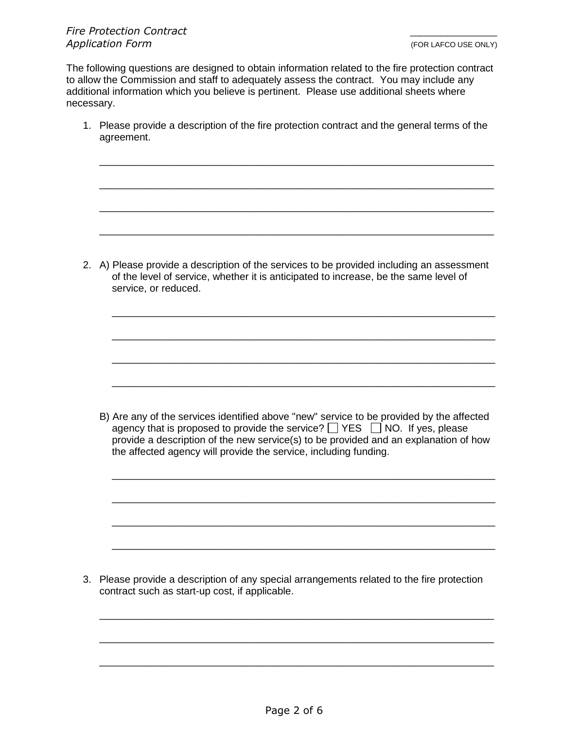The following questions are designed to obtain information related to the fire protection contract to allow the Commission and staff to adequately assess the contract. You may include any additional information which you believe is pertinent. Please use additional sheets where necessary.

1. Please provide a description of the fire protection contract and the general terms of the agreement.

\_\_\_\_\_\_\_\_\_\_\_\_\_\_\_\_\_\_\_\_\_\_\_\_\_\_\_\_\_\_\_\_\_\_\_\_\_\_\_\_\_\_\_\_\_\_\_\_\_\_\_\_\_\_\_\_\_\_\_\_\_\_\_\_\_\_\_\_\_\_

\_\_\_\_\_\_\_\_\_\_\_\_\_\_\_\_\_\_\_\_\_\_\_\_\_\_\_\_\_\_\_\_\_\_\_\_\_\_\_\_\_\_\_\_\_\_\_\_\_\_\_\_\_\_\_\_\_\_\_\_\_\_\_\_\_\_\_\_\_\_

\_\_\_\_\_\_\_\_\_\_\_\_\_\_\_\_\_\_\_\_\_\_\_\_\_\_\_\_\_\_\_\_\_\_\_\_\_\_\_\_\_\_\_\_\_\_\_\_\_\_\_\_\_\_\_\_\_\_\_\_\_\_\_\_\_\_\_\_\_\_

\_\_\_\_\_\_\_\_\_\_\_\_\_\_\_\_\_\_\_\_\_\_\_\_\_\_\_\_\_\_\_\_\_\_\_\_\_\_\_\_\_\_\_\_\_\_\_\_\_\_\_\_\_\_\_\_\_\_\_\_\_\_\_\_\_\_\_\_\_\_

\_\_\_\_\_\_\_\_\_\_\_\_\_\_\_\_\_\_\_\_\_\_\_\_\_\_\_\_\_\_\_\_\_\_\_\_\_\_\_\_\_\_\_\_\_\_\_\_\_\_\_\_\_\_\_\_\_\_\_\_\_\_\_\_\_\_\_\_

\_\_\_\_\_\_\_\_\_\_\_\_\_\_\_\_\_\_\_\_\_\_\_\_\_\_\_\_\_\_\_\_\_\_\_\_\_\_\_\_\_\_\_\_\_\_\_\_\_\_\_\_\_\_\_\_\_\_\_\_\_\_\_\_\_\_\_\_

\_\_\_\_\_\_\_\_\_\_\_\_\_\_\_\_\_\_\_\_\_\_\_\_\_\_\_\_\_\_\_\_\_\_\_\_\_\_\_\_\_\_\_\_\_\_\_\_\_\_\_\_\_\_\_\_\_\_\_\_\_\_\_\_\_\_\_\_

\_\_\_\_\_\_\_\_\_\_\_\_\_\_\_\_\_\_\_\_\_\_\_\_\_\_\_\_\_\_\_\_\_\_\_\_\_\_\_\_\_\_\_\_\_\_\_\_\_\_\_\_\_\_\_\_\_\_\_\_\_\_\_\_\_\_\_\_

2. A) Please provide a description of the services to be provided including an assessment of the level of service, whether it is anticipated to increase, be the same level of service, or reduced.

B) Are any of the services identified above "new" service to be provided by the affected agency that is proposed to provide the service?  $\Box$  YES  $\Box$  NO. If yes, please provide a description of the new service(s) to be provided and an explanation of how the affected agency will provide the service, including funding.

\_\_\_\_\_\_\_\_\_\_\_\_\_\_\_\_\_\_\_\_\_\_\_\_\_\_\_\_\_\_\_\_\_\_\_\_\_\_\_\_\_\_\_\_\_\_\_\_\_\_\_\_\_\_\_\_\_\_\_\_\_\_\_\_\_\_\_\_

\_\_\_\_\_\_\_\_\_\_\_\_\_\_\_\_\_\_\_\_\_\_\_\_\_\_\_\_\_\_\_\_\_\_\_\_\_\_\_\_\_\_\_\_\_\_\_\_\_\_\_\_\_\_\_\_\_\_\_\_\_\_\_\_\_\_\_\_

\_\_\_\_\_\_\_\_\_\_\_\_\_\_\_\_\_\_\_\_\_\_\_\_\_\_\_\_\_\_\_\_\_\_\_\_\_\_\_\_\_\_\_\_\_\_\_\_\_\_\_\_\_\_\_\_\_\_\_\_\_\_\_\_\_\_\_\_

\_\_\_\_\_\_\_\_\_\_\_\_\_\_\_\_\_\_\_\_\_\_\_\_\_\_\_\_\_\_\_\_\_\_\_\_\_\_\_\_\_\_\_\_\_\_\_\_\_\_\_\_\_\_\_\_\_\_\_\_\_\_\_\_\_\_\_\_

3. Please provide a description of any special arrangements related to the fire protection contract such as start-up cost, if applicable.

\_\_\_\_\_\_\_\_\_\_\_\_\_\_\_\_\_\_\_\_\_\_\_\_\_\_\_\_\_\_\_\_\_\_\_\_\_\_\_\_\_\_\_\_\_\_\_\_\_\_\_\_\_\_\_\_\_\_\_\_\_\_\_\_\_\_\_\_\_\_

\_\_\_\_\_\_\_\_\_\_\_\_\_\_\_\_\_\_\_\_\_\_\_\_\_\_\_\_\_\_\_\_\_\_\_\_\_\_\_\_\_\_\_\_\_\_\_\_\_\_\_\_\_\_\_\_\_\_\_\_\_\_\_\_\_\_\_\_\_\_

\_\_\_\_\_\_\_\_\_\_\_\_\_\_\_\_\_\_\_\_\_\_\_\_\_\_\_\_\_\_\_\_\_\_\_\_\_\_\_\_\_\_\_\_\_\_\_\_\_\_\_\_\_\_\_\_\_\_\_\_\_\_\_\_\_\_\_\_\_\_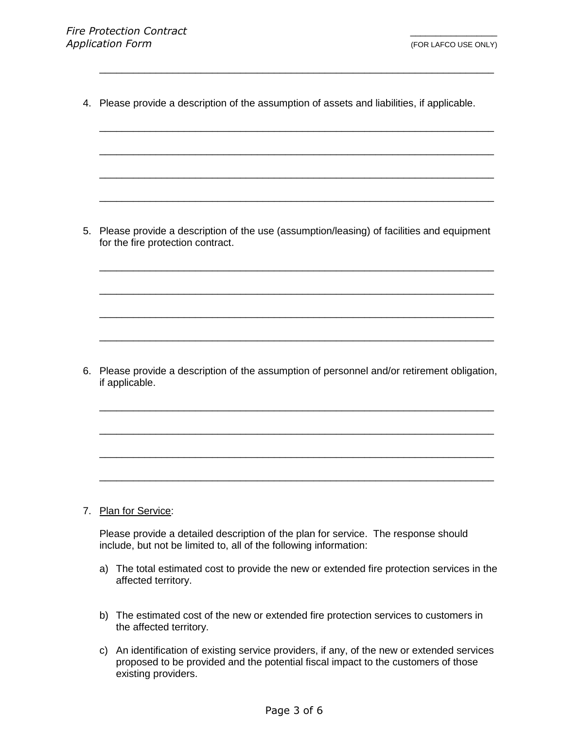4. Please provide a description of the assumption of assets and liabilities, if applicable.

\_\_\_\_\_\_\_\_\_\_\_\_\_\_\_\_\_\_\_\_\_\_\_\_\_\_\_\_\_\_\_\_\_\_\_\_\_\_\_\_\_\_\_\_\_\_\_\_\_\_\_\_\_\_\_\_\_\_\_\_\_\_\_\_\_\_\_\_\_\_

\_\_\_\_\_\_\_\_\_\_\_\_\_\_\_\_\_\_\_\_\_\_\_\_\_\_\_\_\_\_\_\_\_\_\_\_\_\_\_\_\_\_\_\_\_\_\_\_\_\_\_\_\_\_\_\_\_\_\_\_\_\_\_\_\_\_\_\_\_\_

\_\_\_\_\_\_\_\_\_\_\_\_\_\_\_\_\_\_\_\_\_\_\_\_\_\_\_\_\_\_\_\_\_\_\_\_\_\_\_\_\_\_\_\_\_\_\_\_\_\_\_\_\_\_\_\_\_\_\_\_\_\_\_\_\_\_\_\_\_\_

\_\_\_\_\_\_\_\_\_\_\_\_\_\_\_\_\_\_\_\_\_\_\_\_\_\_\_\_\_\_\_\_\_\_\_\_\_\_\_\_\_\_\_\_\_\_\_\_\_\_\_\_\_\_\_\_\_\_\_\_\_\_\_\_\_\_\_\_\_\_

\_\_\_\_\_\_\_\_\_\_\_\_\_\_\_\_\_\_\_\_\_\_\_\_\_\_\_\_\_\_\_\_\_\_\_\_\_\_\_\_\_\_\_\_\_\_\_\_\_\_\_\_\_\_\_\_\_\_\_\_\_\_\_\_\_\_\_\_\_\_

\_\_\_\_\_\_\_\_\_\_\_\_\_\_\_\_\_\_\_\_\_\_\_\_\_\_\_\_\_\_\_\_\_\_\_\_\_\_\_\_\_\_\_\_\_\_\_\_\_\_\_\_\_\_\_\_\_\_\_\_\_\_\_\_\_\_\_\_\_\_

\_\_\_\_\_\_\_\_\_\_\_\_\_\_\_\_\_\_\_\_\_\_\_\_\_\_\_\_\_\_\_\_\_\_\_\_\_\_\_\_\_\_\_\_\_\_\_\_\_\_\_\_\_\_\_\_\_\_\_\_\_\_\_\_\_\_\_\_\_\_

\_\_\_\_\_\_\_\_\_\_\_\_\_\_\_\_\_\_\_\_\_\_\_\_\_\_\_\_\_\_\_\_\_\_\_\_\_\_\_\_\_\_\_\_\_\_\_\_\_\_\_\_\_\_\_\_\_\_\_\_\_\_\_\_\_\_\_\_\_\_

\_\_\_\_\_\_\_\_\_\_\_\_\_\_\_\_\_\_\_\_\_\_\_\_\_\_\_\_\_\_\_\_\_\_\_\_\_\_\_\_\_\_\_\_\_\_\_\_\_\_\_\_\_\_\_\_\_\_\_\_\_\_\_\_\_\_\_\_\_\_

5. Please provide a description of the use (assumption/leasing) of facilities and equipment for the fire protection contract.

6. Please provide a description of the assumption of personnel and/or retirement obligation, if applicable.

\_\_\_\_\_\_\_\_\_\_\_\_\_\_\_\_\_\_\_\_\_\_\_\_\_\_\_\_\_\_\_\_\_\_\_\_\_\_\_\_\_\_\_\_\_\_\_\_\_\_\_\_\_\_\_\_\_\_\_\_\_\_\_\_\_\_\_\_\_\_

\_\_\_\_\_\_\_\_\_\_\_\_\_\_\_\_\_\_\_\_\_\_\_\_\_\_\_\_\_\_\_\_\_\_\_\_\_\_\_\_\_\_\_\_\_\_\_\_\_\_\_\_\_\_\_\_\_\_\_\_\_\_\_\_\_\_\_\_\_\_

\_\_\_\_\_\_\_\_\_\_\_\_\_\_\_\_\_\_\_\_\_\_\_\_\_\_\_\_\_\_\_\_\_\_\_\_\_\_\_\_\_\_\_\_\_\_\_\_\_\_\_\_\_\_\_\_\_\_\_\_\_\_\_\_\_\_\_\_\_\_

\_\_\_\_\_\_\_\_\_\_\_\_\_\_\_\_\_\_\_\_\_\_\_\_\_\_\_\_\_\_\_\_\_\_\_\_\_\_\_\_\_\_\_\_\_\_\_\_\_\_\_\_\_\_\_\_\_\_\_\_\_\_\_\_\_\_\_\_\_\_

#### 7. Plan for Service:

Please provide a detailed description of the plan for service. The response should include, but not be limited to, all of the following information:

- a) The total estimated cost to provide the new or extended fire protection services in the affected territory.
- b) The estimated cost of the new or extended fire protection services to customers in the affected territory.
- c) An identification of existing service providers, if any, of the new or extended services proposed to be provided and the potential fiscal impact to the customers of those existing providers.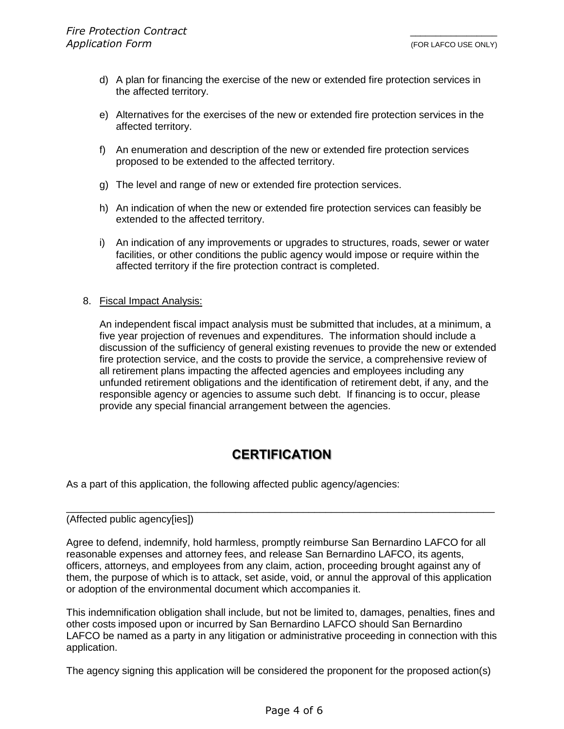- d) A plan for financing the exercise of the new or extended fire protection services in the affected territory.
- e) Alternatives for the exercises of the new or extended fire protection services in the affected territory.
- f) An enumeration and description of the new or extended fire protection services proposed to be extended to the affected territory.
- g) The level and range of new or extended fire protection services.
- h) An indication of when the new or extended fire protection services can feasibly be extended to the affected territory.
- i) An indication of any improvements or upgrades to structures, roads, sewer or water facilities, or other conditions the public agency would impose or require within the affected territory if the fire protection contract is completed.

### 8. Fiscal Impact Analysis:

An independent fiscal impact analysis must be submitted that includes, at a minimum, a five year projection of revenues and expenditures. The information should include a discussion of the sufficiency of general existing revenues to provide the new or extended fire protection service, and the costs to provide the service, a comprehensive review of all retirement plans impacting the affected agencies and employees including any unfunded retirement obligations and the identification of retirement debt, if any, and the responsible agency or agencies to assume such debt. If financing is to occur, please provide any special financial arrangement between the agencies.

# **CERTIFICATION**

As a part of this application, the following affected public agency/agencies:

#### (Affected public agency[ies])

Agree to defend, indemnify, hold harmless, promptly reimburse San Bernardino LAFCO for all reasonable expenses and attorney fees, and release San Bernardino LAFCO, its agents, officers, attorneys, and employees from any claim, action, proceeding brought against any of them, the purpose of which is to attack, set aside, void, or annul the approval of this application or adoption of the environmental document which accompanies it.

\_\_\_\_\_\_\_\_\_\_\_\_\_\_\_\_\_\_\_\_\_\_\_\_\_\_\_\_\_\_\_\_\_\_\_\_\_\_\_\_\_\_\_\_\_\_\_\_\_\_\_\_\_\_\_\_\_\_\_\_\_\_\_\_\_\_\_\_\_\_\_\_\_\_\_\_

This indemnification obligation shall include, but not be limited to, damages, penalties, fines and other costs imposed upon or incurred by San Bernardino LAFCO should San Bernardino LAFCO be named as a party in any litigation or administrative proceeding in connection with this application.

The agency signing this application will be considered the proponent for the proposed action(s)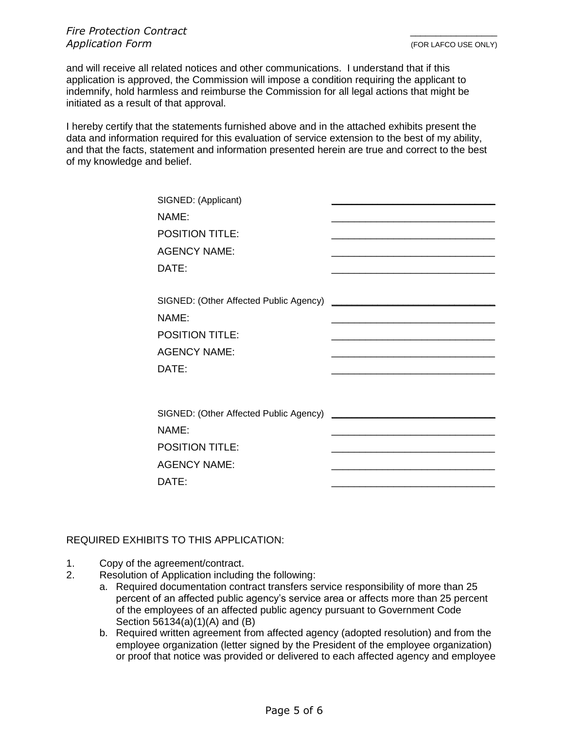and will receive all related notices and other communications. I understand that if this application is approved, the Commission will impose a condition requiring the applicant to indemnify, hold harmless and reimburse the Commission for all legal actions that might be initiated as a result of that approval.

I hereby certify that the statements furnished above and in the attached exhibits present the data and information required for this evaluation of service extension to the best of my ability, and that the facts, statement and information presented herein are true and correct to the best of my knowledge and belief.

| SIGNED: (Applicant)                    |  |
|----------------------------------------|--|
| NAME:                                  |  |
| <b>POSITION TITLE:</b>                 |  |
| <b>AGENCY NAME:</b>                    |  |
| DATE:                                  |  |
|                                        |  |
| SIGNED: (Other Affected Public Agency) |  |
| NAME:                                  |  |
| <b>POSITION TITLE:</b>                 |  |
| <b>AGENCY NAME:</b>                    |  |
| DATE:                                  |  |
|                                        |  |
|                                        |  |
| SIGNED: (Other Affected Public Agency) |  |
| NAME:                                  |  |
| <b>POSITION TITLE:</b>                 |  |
| <b>AGENCY NAME:</b>                    |  |
| DATE:                                  |  |
|                                        |  |

### REQUIRED EXHIBITS TO THIS APPLICATION:

- 1. Copy of the agreement/contract.
- 2. Resolution of Application including the following:
	- a. Required documentation contract transfers service responsibility of more than 25 percent of an affected public agency's service area or affects more than 25 percent of the employees of an affected public agency pursuant to Government Code Section 56134(a)(1)(A) and (B)
	- b. Required written agreement from affected agency (adopted resolution) and from the employee organization (letter signed by the President of the employee organization) or proof that notice was provided or delivered to each affected agency and employee